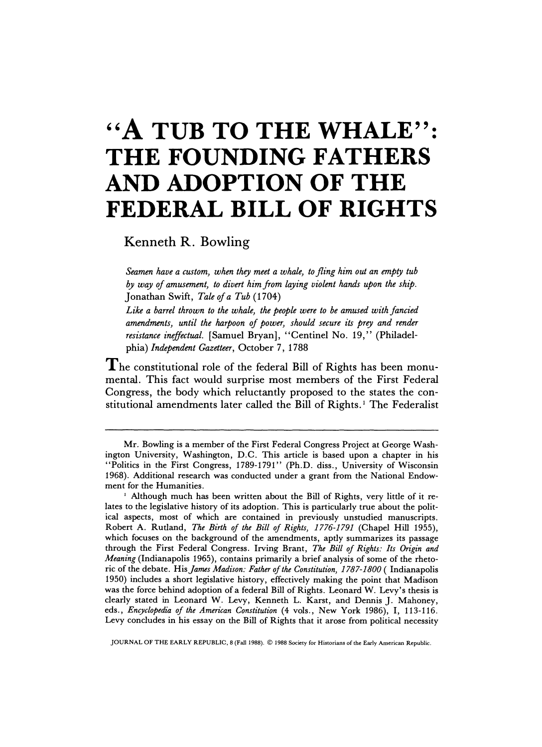# **"A TUB TO THE WHALE": THE FOUNDING FATHERS AND ADOPTION OF THE FEDERAL BILL OF RIGHTS**

Kenneth R. Bowling

*Seamen have a custom, when they meet a whale, to fling him out an empty tub by way of amusement, to divert him from laying violent hands upon the ship.*  **Jonathan Swift,** *Tale* **of** *a Tub* **(1**704)

*Like a barrel thrown to the whale, the people were to be amused with fancied*  amendments, until the harpoon of power, should secure its prey and render *resistance ineffectual.* **[Samuel Bryan],** '**'Centinel NO. 19,** ' ' **(Philadelphia)** *Independent Gazetteer,* **October** 7, 1788

The constitutional role of the federal Bill of Rights has been monumental. This fact would surprise most members of the First Federal Congress, the body which reluctantly proposed to the states the constitutional amendments later called the Bill of Rights.' The Federalist

**JOURNAL OF THE EARLY REPUBLIC,** 8 **(Fall** 1988). O 1988 **Soclery** for **Historians** of **the Early Amencan Republic.** 

Mr. Bowling is a member of the First Federal Congress Project at George Washington University, Washington, D.C. This article is based upon a chapter in his "Politics in the First Congress, **1789-1791"** (Ph.D. diss., University of Wisconsin **1968).** Additional research was conducted under a grant from the National Endowment for the Humanities.

<sup>&#</sup>x27; Although much has been written about the Bill of Rights, very little of it relates to the legislative history of its adoption. This is particularly true about the political aspects, most of which are contained in previously unstudied manuscripts. Robert A. Rutland, *The Birth of the Bill of Rights, 1776-1791* (Chapel Hill 1955), which focuses on the background of the amendments, aptly summarizes its passage through the First Federal Congress. Irving Brant, *The Bill* of *Rights: Its Origin and Meaning* (Indianapolis **1965),** contains primarily a brief analysis of some of the rhetoric of the debate. His *James Madison: Father of the Constitution, 1787-1800* ( Indianapolis **1950)** includes a short legislative history, effectively making the point that Madison was the force behind adoption of a federal Bill of Rights. Leonard W. Levy's thesis is clearly stated in Leonard W. Levy, Kenneth L. Karst, and Dennis J. Mahoney, eds., *Encyclopedia of the American Constitution (4* vols., New York **1986),** I, **113-1 16.**  Levy concludes in his essay on the Bill of Rights that it arose from political necessity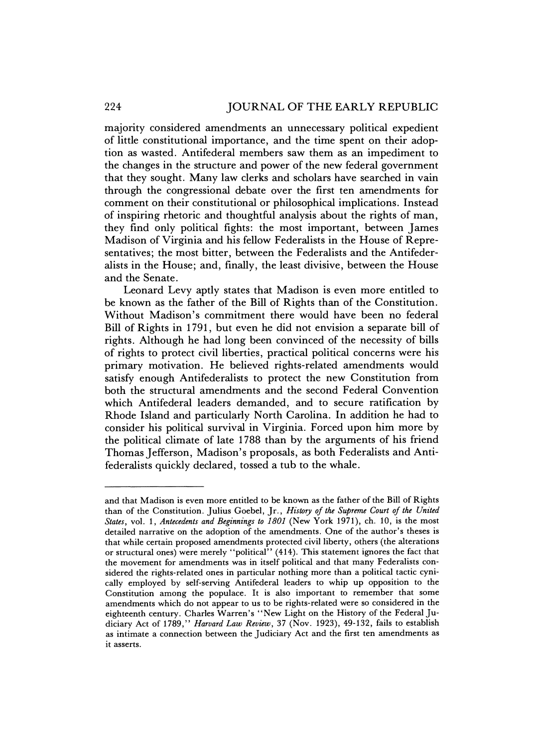majority considered amendments an unnecessary political expedient of little constitutional importance, and the time spent on their adoption as wasted. Antifederal members saw them as an impediment to the changes in the structure and power of the new federal government that they sought. Many law clerks and scholars have searched in vain through the congressional debate over the first ten amendments for comment on their constitutional or philosophical implications. Instead of inspiring rhetoric and thoughtful analysis about the rights of man, they find only political fights: the most important, between James Madison of Virginia and his fellow Federalists in the House of Representatives; the most bitter, between the Federalists and the Antifederalists in the House; and, finally, the least divisive, between the House and the Senate.

Leonard Levy aptly states that Madison is even more entitled to be known as the father of the Bill of Rights than of the Constitution. Without Madison's commitment there would have been no federal Bill of Rights in 1791, but even he did not envision a separate bill of rights. Although he had long been convinced of the necessity of bills of rights to protect civil liberties, practical political concerns were his primary motivation. He believed rights-related amendments would satisfy enough Antifederalists to protect the new Constitution from both the structural amendments and the second Federal Convention which Antifederal leaders demanded, and to secure ratification by Rhode Island and particularly North Carolina. In addition he had to consider his political survival in Virginia. Forced upon him more by the political climate of late 1788 than by the arguments of his friend Thomas Jefferson, Madison's proposals, as both Federalists and Antifederalists quickly declared, tossed a tub to the whale.

and that Madison is even more entitled to be known as the father of the Bill of Rights than of the Constitution. Julius Goebel, Jr., *History* of *the Supreme Court* of *the United States,* vol. 1, *Antecedents and Beginnings to 1801* (New York 1971), ch. 10, is the most detailed narrative on the adoption of the amendments. One of the author's theses is that while certain proposed amendments protected civil liberty, others (the alterations or structural ones) were merely "political" (414). This statement ignores the fact that the movement for amendments was in itself political and that many Federalists considered the rights-related ones in particular nothing more than a political tactic cynically employed by self-serving Antifederal leaders to whip up opposition to the constitution among the populace. It is also important to remember that some amendments which do not appear to us to be rights-related were so considered in the eighteenth century. Charles Warren's "New Light on the History of the Federal Judiciary Act of 1789," *Harvard* Law *Reuiew,* 37 (Nov. 1923), 49-132, fails to establish as intimate a connection between the Judiciary Act and the first ten amendments as it asserts.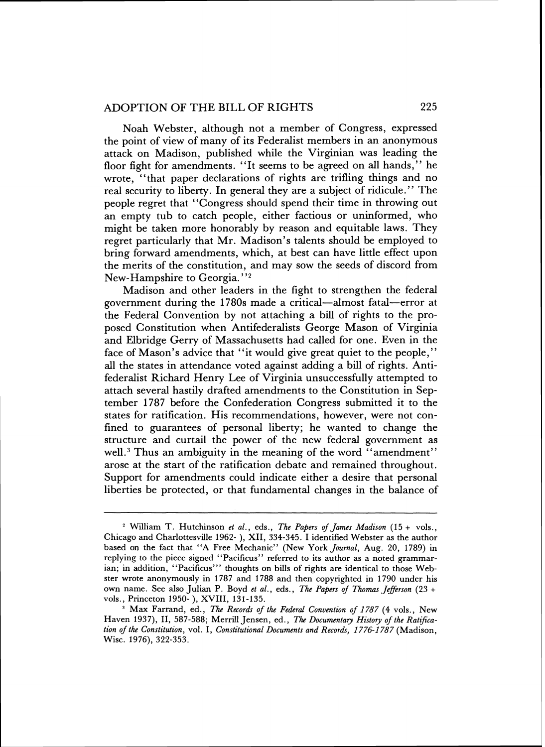Noah Webster, although not a member of Congress, expressed the point of view of many of its Federalist members in an anonymous attack on Madison, published while the Virginian was leading the floor fight for amendments. "It seems to be agreed on all hands," he wrote, "that paper declarations of rights are trifling things and no real security to liberty. In general they are a subject of ridicule." The people regret that "Congress should spend their time in throwing out an empty tub to catch people, either factious or uninformed, who might be taken more honorably by reason and equitable laws. They regret particularly that Mr. Madison's talents should be employed to bring forward amendments, which, at best can have little effect upon the merits of the constitution, and may sow the seeds of discord from New-Hampshire to Georgia."<sup>2</sup>

Madison and other leaders in the fight to strengthen the federal government during the 1780s made a critical-almost fatal-error at the Federal Convention by not attaching a bill of rights to the proposed Constitution when Antifederalists George Mason of Virginia and Elbridge Gerry of Massachusetts had called for one. Even in the face of Mason's advice that "it would give great quiet to the people," all the states in attendance voted against adding a bill of rights. Antifederalist Richard Henry Lee of Virginia unsuccessfully attempted to attach several hastily drafted amendments to the Constitution in September 1787 before the Confederation Congress submitted it to the states for ratification. His recommendations, however, were not confined to guarantees of personal liberty; he wanted to change the structure and curtail the power of the new federal government as well.<sup>3</sup> Thus an ambiguity in the meaning of the word "amendment" arose at the start of the ratification debate and remained throughout. Support for amendments could indicate either a desire that personal liberties be protected, or that fundamental changes in the balance of

William T. Hutchinson *et al.,* eds., *The Papers of James Madison* (15 + vols., Chicago and Charlottesville 1962- ), XII, 334-345. I identified Webster as the author based on the fact that "A Free Mechanic" (New York *Journal,* Aug. 20, 1789) in replying to the piece signed "Pacificus" referred to its author as a noted grammarian; in addition, "Pacificus"' thoughts on bills of rights are identical to those Webster wrote anonymously in 1787 and 1788 and then copyrighted in 1790 under his own name. See also Julian P. Boyd *et al.,* eds., *The Papers of Thomas Jefferson* (23 + vols., Princeton 1950- ), XVIII, 131-135.

<sup>&</sup>lt;sup>3</sup> Max Farrand, ed., *The Records of the Federal Convention of 1787* (4 vols., New Haven 1937), II, 587-588; Merrill Jensen, ed., The Documentary History of the Ratifica*tion of the Constitution,* vol. I, *Constitutional Documents and Records,* 1776-1787(Madison, Wisc. 1976), 322-353.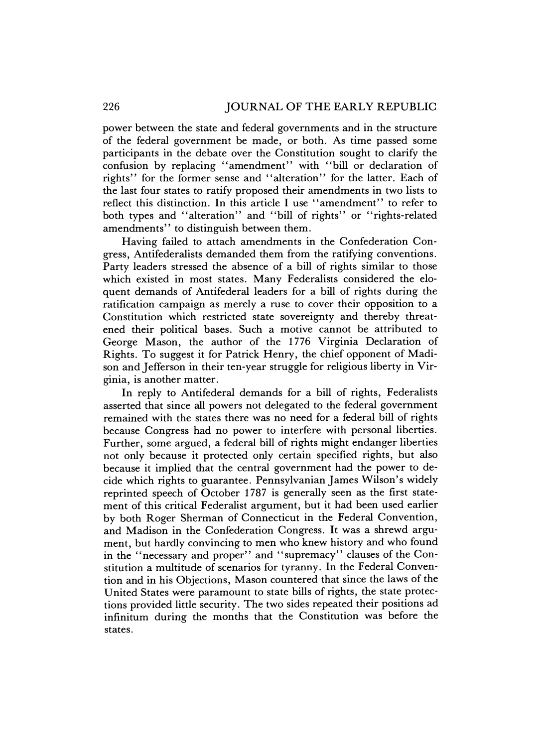power between the state and federal governments and in the structure of the federal government be made, or both. As time passed some participants in the debate over the Constitution sought to clarify the confusion by replacing "amendment" with "bill or declaration of rights" for the former sense and "alteration" for the latter. Each of the last four states to ratify proposed their amendments in two lists to reflect this distinction. In this article I use "amendment" to refer to both types and "alteration" and "bill of rights" or "rights-related amendments" to distinguish between them.

Having failed to attach amendments in the Confederation Congress, Antifederalists demanded them from the ratifying conventions. Party leaders stressed the absence of a bill of rights similar to those which existed in most states. Many Federalists considered the eloquent demands of Antifederal leaders for a bill of rights during the ratification campaign as merely a ruse to cover their opposition to a Constitution which restricted state sovereignty and thereby threatened their political bases. Such a motive cannot be attributed to George Mason, the author of the 1776 Virginia Declaration of Rights. To suggest it for Patrick Henry, the chief opponent of Madison and Jefferson in their ten-year struggle for religious liberty in Virginia, is another matter.

In reply to Antifederal demands for a bill of rights, Federalists asserted that since all powers not delegated to the federal government remained with the states there was no need for a federal bill of rights because Congress had no power to interfere with personal liberties. Further, some argued, a federal bill of rights might endanger liberties not only because it protected only certain specified rights, but also because it implied that the central government had the power to decide which rights to guarantee. Pennsylvanian James Wilson's widely reprinted speech of October 1787 is generally seen as the first statement of this critical Federalist argument, but it had been used earlier by both Roger Sherman of Connecticut in the Federal Convention, and Madison in the Confederation Congress. It was a shrewd argument, but hardly convincing to men who knew history and who found in the "necessary and proper" and "supremacy" clauses of the Constitution a multitude of scenarios for tyranny. In the Federal Convention and in his Objections, Mason countered that since the laws of the United States were paramount to state bills of rights, the state protections provided little security. The two sides repeated their positions ad infinitum during the months that the Constitution was before the states.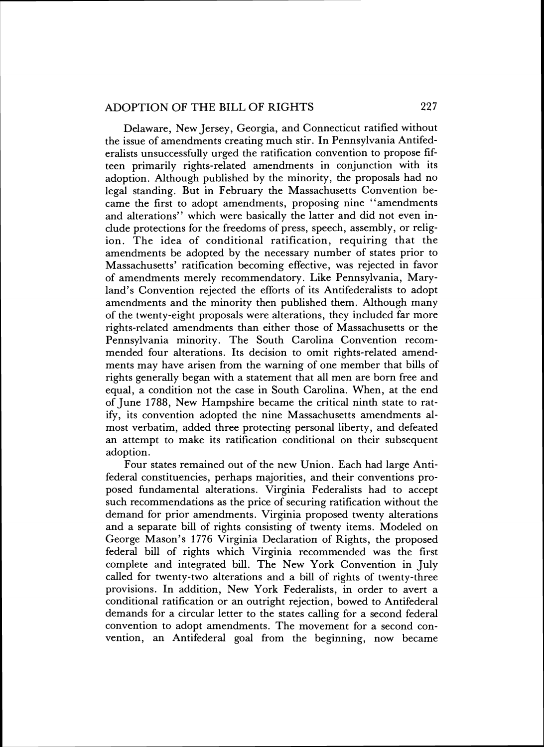Delaware, New Jersey, Georgia, and Connecticut ratified without the issue of amendments creating much stir. In Pennsylvania Antifederalists unsuccessfully urged the ratification convention to propose fifteen primarily rights-related amendments in conjunction with its adoption. Although published by the minority, the proposals had no legal standing. But in February the Massachusetts Convention became the first to adopt amendments, proposing nine "amendments and alterations" which were basically the latter and did not even include protections for the freedoms of press, speech, assembly, or religion. The idea of conditional ratification, requiring that the amendments be adopted by the necessary number of states prior to Massachusetts' ratification becoming effective, was rejected in favor of amendments merely recommendatory. Like Pennsylvania, Maryland's Convention rejected the efforts of its Antifederalists to adopt amendments and the minority then published them. Although many of the twenty-eight proposals were alterations, they included far more rights-related amendments than either those of Massachusetts or the Pennsylvania minority. The South Carolina Convention recommended four alterations. Its decision to omit rights-related amendments may have arisen from the warning of one member that bills of rights generally began with a statement that all men are born free and equal, a condition not the case in South Carolina. When, at the end of June 1788, New Hampshire became the critical ninth state to ratify, its convention adopted the nine Massachusetts amendments almost verbatim, added three protecting personal liberty, and defeated an attempt to make its ratification conditional on their subsequent adoption.

Four states remained out of the new Union. Each had large Antifederal constituencies, perhaps majorities, and their conventions proposed fundamental alterations. Virginia Federalists had to accept such recommendations as the price of securing ratification without the demand for prior amendments. Virginia proposed twenty alterations and a separate bill of rights consisting of twenty items. Modeled on George Mason's 1776 Virginia Declaration of Rights, the proposed federal bill of rights which Virginia recommended was the first complete and integrated bill. The New York Convention in July called for twenty-two alterations and a bill of rights of twenty-three provisions. In addition, New York Federalists, in order to avert a conditional ratification or an outright rejection, bowed to Antifederal demands for a circular letter to the states calling for a second federal convention to adopt amendments. The movement for a second convention, an Antifederal goal from the beginning, now became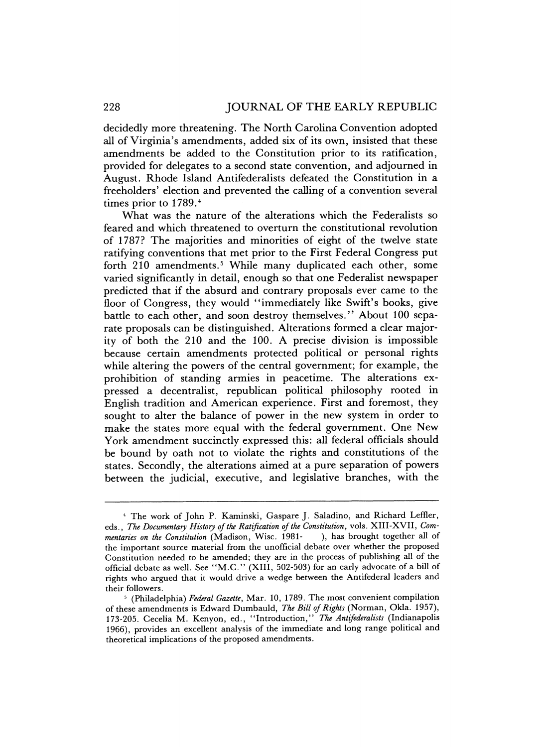decidedly more threatening. The North Carolina Convention adopted all of Virginia's amendments, added six of its own, insisted that these amendments be added to the Constitution prior to its ratification, provided for delegates to a second state convention, and adjourned in August. Rhode Island Antifederalists defeated the Constitution in a freeholders' election and prevented the calling of a convention several times prior to 1789.<sup>4</sup>

What was the nature of the alterations which the Federalists so feared and which threatened to overturn the constitutional revolution of 1787? The majorities and minorities of eight of the twelve state ratifying conventions that met prior to the First Federal Congress put forth 210 amendments.<sup>5</sup> While many duplicated each other, some varied significantly in detail, enough so that one Federalist newspaper predicted that if the absurd and contrary proposals ever came to the floor of Congress, they would "immediately like Swift's books, give battle to each other, and soon destroy themselves." About 100 separate proposals can be distinguished. Alterations formed a clear majority of both the 210 and the 100. A precise division is impossible because certain amendments protected political or personal rights while altering the powers of the central government; for example, the prohibition of standing armies in peacetime. The alterations expressed a decentralist, republican political philosophy rooted in English tradition and American experience. First and foremost, they sought to alter the balance of power in the new system in order to make the states more equal with the federal government. One New York amendment succinctly expressed this: all federal officials should be bound by oath not to violate the rights and constitutions of the states. Secondly, the alterations aimed at a pure separation of powers between the judicial, executive, and legislative branches, with the

<sup>+</sup>The work of John P. Kaminski, Gaspare J. Saladino, and Richard Leffler, eds., *The Documentary History of the Ratification of the Constitution*, vols. XIII-XVII, *Commentaries on the Constitution* (Madison, Wisc. 1981-), has brought together all of *mentaries on the Constitution* (Madison, Wisc. 1981the important source material from the unofficial debate over whether the proposed Constitution needed to be amended; they are in the process of publishing all of the official debate as well. See "M.C." (XIII, 502-503) for an early advocate of a bill of rights who argued that it would drive a wedge between the Antifederal leaders and their followers.

**j** (Philadelphia) *Federal Gazette,* Mar. 10, 1789. The most convenient compilation of these amendments is Edward Dumbauld, *The Bill of Rights* (Norman, Okla. 1957), 173-205. Cecelia M. Kenyon, ed., "Introduction," *The Antifderalists* (Indianapolis 1966), provides an excellent analysis of the immediate and long range political and theoretical implications of the proposed amendments.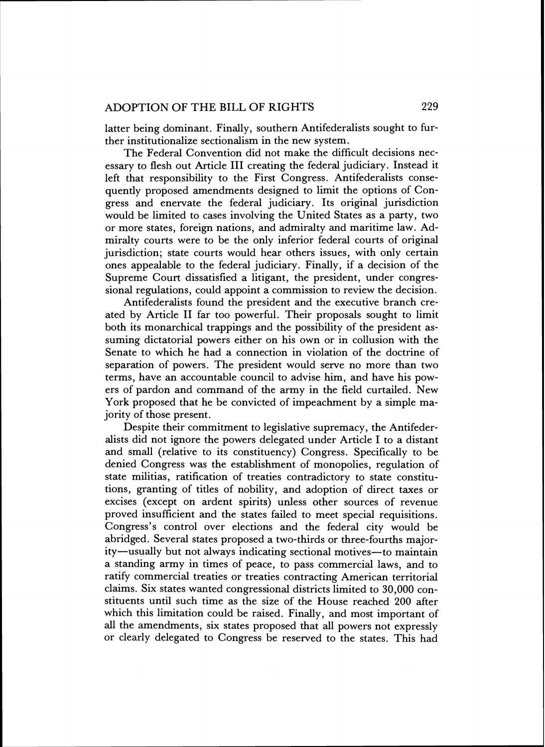latter being dominant. Finally, southern Antifederalists sought to further institutionalize sectionalism in the new system.

The Federal Convention did not make the difficult decisions necessary to flesh out Article I11 creating the federal judiciary. Instead it left that responsibility to the First Congress. Antifederalists consequently proposed amendments designed to limit the options of Congress and enervate the federal judiciary. Its original jurisdiction would be limited to cases involving the United States as a party, two or more states, foreign nations, and admiralty and maritime law. Admiralty courts were to be the only inferior federal courts of original jurisdiction; state courts would hear others issues, with only certain ones appealable to the federal judiciary. Finally, if a decision of the Supreme Court dissatisfied a litigant, the president, under congressional regulations, could appoint a commission to review the decision.

Antifederalists found the president and the executive branch created by Article I1 far too powerful. Their proposals sought to limit both its monarchical trappings and the possibility of the president assuming dictatorial powers either on his own or in collusion with the Senate to which he had a connection in violation of the doctrine of separation of powers. The president would serve no more than two terms, have an accountable council to advise him, and have his powers of pardon and command of the army in the field curtailed. New York proposed that he be convicted of impeachment by a simple majority of those present.

Despite their commitment to legislative supremacy, the Antifederalists did not ignore the powers delegated under Article I to a distant and small (relative to its constituency) Congress. Specifically to be denied Congress was the establishment of monopolies, regulation of state militias, ratification of treaties contradictory to state constitutions, granting of titles of nobility, and adoption of direct taxes or excises (except on ardent spirits) unless other sources of revenue proved insufficient and the states failed to meet special requisitions. Congress's control over elections and the federal city would be abridged. Several states proposed a two-thirds or three-fourths majority-usually but not always indicating sectional motives-to maintain a standing army in times of peace, to pass commercial laws, and to ratify commercial treaties or treaties contracting American territorial claims. Six states wanted congressional districts limited to 30,000 constituents until such time as the size of the House reached 200 after which this limitation could be raised. Finally, and most important of all the amendments, six states proposed that all powers not expressly or clearly delegated to Congress be reserved to the states. This had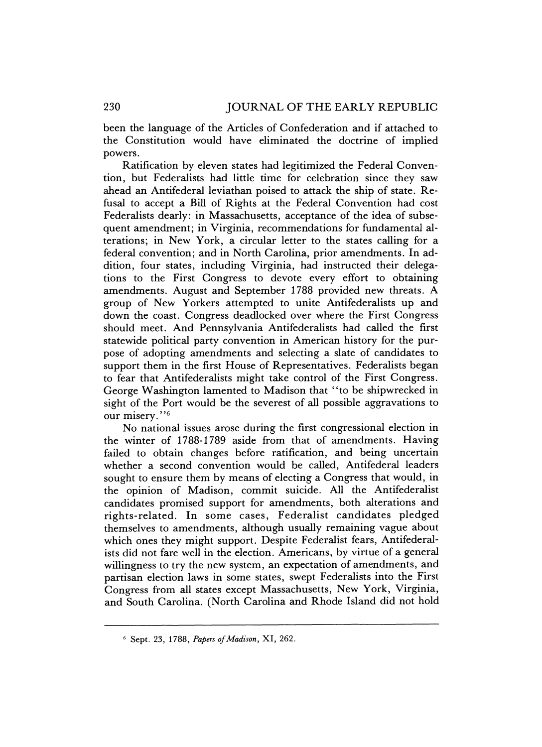been the language of the Articles of Confederation and if attached to the Constitution would have eliminated the doctrine of implied powers.

Ratification by eleven states had legitimized the Federal Convention, but Federalists had little time for celebration since they saw ahead an Antifederal leviathan poised to attack the ship of state. Refusal to accept a Bill of Rights at the Federal Convention had cost Federalists dearly: in Massachusetts, acceptance of the idea of subsequent amendment; in Virginia, recommendations for fundamental alterations; in New York, a circular letter to the states calling for a federal convention; and in North Carolina, prior amendments. In addition, four states, including Virginia, had instructed their delegations to the First Congress to devote every effort to obtaining amendments. August and September 1788 provided new threats. A group of New Yorkers attempted to unite Antifederalists up and down the coast. Congress deadlocked over where the First Congress should meet. And Pennsylvania Antifederalists had called the first statewide political party convention in American history for the purpose of adopting amendments and selecting a slate of candidates to support them in the first House of Representatives. Federalists began to fear that Antifederalists might take control of the First Congress. George Washington lamented to Madison that "to be shipwrecked in sight of the Port would be the severest of all possible aggravations to our misery. **"6** 

No national issues arose during the first congressional election in the winter of 1788-1789 aside from that of amendments. Having failed to obtain changes before ratification, and being uncertain whether a second convention would be called, Antifederal leaders sought to ensure them by means of electing a Congress that would, in the opinion of Madison, commit suicide. All the Antifederalist candidates promised support for amendments, both alterations and rights-related. In some cases, Federalist candidates pledged themselves to amendments, although usually remaining vague about which ones they might support. Despite Federalist fears, Antifederalists did not fare well in the election. Americans, by virtue of a general willingness to try the new system, an expectation of amendments, and partisan election laws in some states, swept Federalists into the First Congress from all states except Massachusetts, New York, Virginia, and South Carolina. (North Carolina and Rhode Island did not hold

**Sept.** 23, 1788, *Papers ofMadison,* XI, 262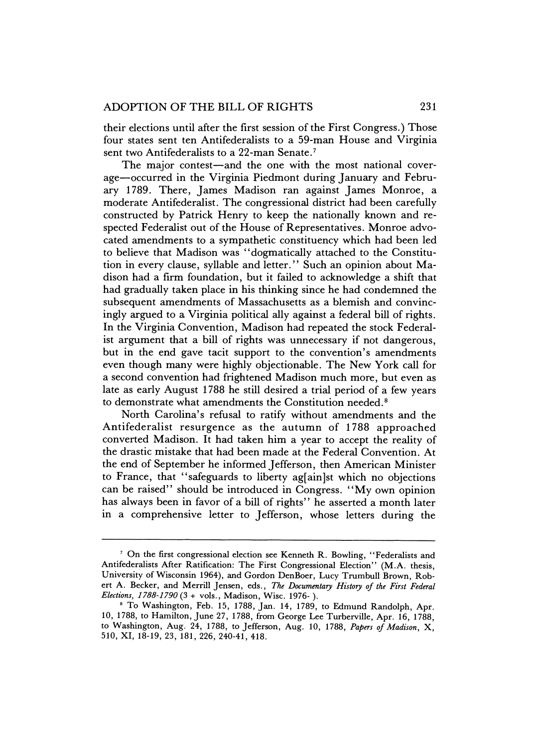their elections until after the first session of the First Congress.) Those four states sent ten Antifederalists to a 59-man House and Virginia sent two Antifederalists to a 22-man Senate.'

The major contest-and the one with the most national coverage-occurred in the Virginia Piedmont during January and February 1789. There, James Madison ran against James Monroe, a moderate Antifederalist. The congressional district had been carefully constructed by Patrick Henry to keep the nationally known and respected Federalist out of the House of Representatives. Monroe advocated amendments to a sympathetic constituency which had been led to believe that Madison was "dogmatically attached to the Constitution in every clause, syllable and letter." Such an opinion about Madison had a firm foundation, but it failed to acknowledge a shift that had gradually taken place in his thinking since he had condemned the subsequent amendments of Massachusetts as a blemish and convincingly argued to a Virginia political ally against a federal bill of rights. In the Virginia Convention, Madison had repeated the stock Federalist argument that a bill of rights was unnecessary if not dangerous, but in the end gave tacit support to the convention's amendments even though many were highly objectionable. The New York call for a second convention had frightened Madison much more, but even as late as early August 1788 he still desired a trial period of a few years to demonstrate what amendments the Constitution needed.<sup>8</sup>

North Carolina's refusal to ratify without amendments and the Antifederalist resurgence as the autumn of 1788 approached converted Madison. It had taken him a year to accept the reality of the drastic mistake that had been made at the Federal Convention. At the end of September he informed Jefferson, then American Minister to France, that "safeguards to liberty ag[ain]st which no objections can be raised" should be introduced in Congress. "My own opinion has always been in favor of a bill of rights'' he asserted a month later in a comprehensive letter to Jefferson, whose letters during the

<sup>&#</sup>x27; On the first congressional election see Kenneth R. Bowling, "Federalists and Antifederalists After Ratification: The First Congressional Election" (M.A. thesis, University of Wisconsin 1964), and Gordon DenBoer, Lucy Trumbull Brown, Robert A. Becker, and Merrill Jensen, eds., *The Documentary History of the First Federal Elections,* 1788-1790*(3* + vols., Madison, Wisc. 1976- ).

To Washington, Feb. 15, 1788, Jan. 14, 1789, to Edmund Randolph, Apr. 10, 1788, to Hamilton, June 27, 1788, from George Lee Turberville, Apr. 16, 1788, to Washington, Aug. 24, 1788, to Jefferson, Aug. 10, 1788, *Papers of Madison, X,*  510, *XI,* 18-19, 23, 181, 226, 240-41, 418.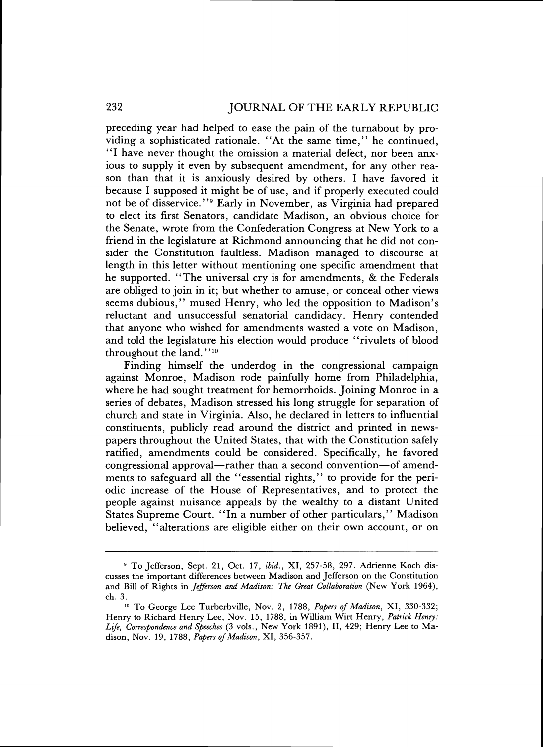preceding year had helped to ease the pain of the turnabout by providing a sophisticated rationale. "At the same time," he continued, "I have never thought the omission a material defect, nor been anxious to supply it even by subsequent amendment, for any other reason than that it is anxiously desired by others. I have favored it because I supposed it might be of use, and if properly executed could not be of disservice."<sup>9</sup> Early in November, as Virginia had prepared to elect its first Senators, candidate Madison, an obvious choice for the Senate, wrote from the Confederation Congress at New York to a friend in the legislature at Richmond announcing that he did not consider the Constitution faultless. Madison managed to discourse at length in this letter without mentioning one specific amendment that he supported. "The universal cry is for amendments, & the Federals are obliged to join in it; but whether to amuse, or conceal other views seems dubious," mused Henry, who led the opposition to Madison's reluctant and unsuccessful senatorial candidacy. Henry contended that anyone who wished for amendments wasted a vote on Madison, and told the legislature his election would produce "rivulets of blood throughout the land."<sup>10</sup>

Finding himself the underdog in the congressional campaign against Monroe, Madison rode painfully home from Philadelphia, where he had sought treatment for hemorrhoids. Joining Monroe in a series of debates, Madison stressed his long struggle for separation of church and state in Virginia. Also, he declared in letters to influential constituents, publicly read around the district and printed in newspapers throughout the United States, that with the Constitution safely ratified, amendments could be considered. Specifically, he favored congressional approval—rather than a second convention—of amendments to safeguard all the "essential rights," to provide for the periodic increase of the House of Representatives, and to protect the people against nuisance appeals by the wealthy to a distant United States Supreme Court. "In a number of other particulars," Madison believed, "alterations are eligible either on their own account, or on

<sup>&</sup>lt;sup>9</sup> To Jefferson, Sept. 21, Oct. 17, *ibid.*, XI, 257-58, 297. Adrienne Koch discusses the important differences between Madison and Jefferson on the Constitution and Bill of Rights in *Jefferson and Madison: The Great Collaboration* (New York 1964), ch. 3.

<sup>&</sup>lt;sup>10</sup> To George Lee Turberbville, Nov. 2, 1788, *Papers of Madison*, XI, 330-332; Henry to Richard Henry Lee, Nov. 15, 1788, in William Wirt Henry, *Patrick Henry: Life, Correspondence and Speeches* (3 vols., New York 1891), 11, 429; Henry Lee to Madison, Nov. 19, 1788, *Papers of Madison,* XI, 356-357.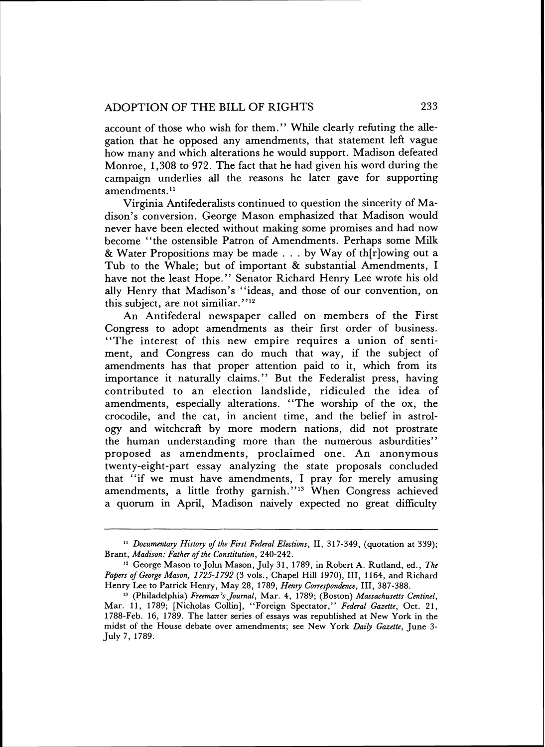account of those who wish for them." While clearly refuting the allegation that he opposed any amendments, that statement left vague how many and which alterations he would support. Madison defeated Monroe, 1,308 to 972. The fact that he had given his word during the campaign underlies all the reasons he later gave for supporting amendments.<sup>11</sup>

Virginia Antifederalists continued to question the sincerity of Madison's conversion. George Mason emphasized that Madison would never have been elected without making some promises and had now become "the ostensible Patron of Amendments. Perhaps some Milk & Water Propositions may be made . . . by Way of th[r]owing out a Tub to the Whale; but of important & substantial Amendments, I have not the least Hope." Senator Richard Henry Lee wrote his old ally Henry that Madison's "ideas, and those of our convention, on this subject, are not similiar."<sup>12</sup>

An Antifederal newspaper called on members of the First Congress to adopt amendments as their first order of business. "The interest of this new empire requires a union of sentiment, and Congress can do much that way, if the subject of amendments has that proper attention paid to it, which from its importance it naturally claims." But the Federalist press, having contributed to an election landslide, ridiculed the idea of amendments, especially alterations. "The worship of the ox, the crocodile, and the cat, in ancient time, and the belief in astrology and witchcraft by more modern nations, did not prostrate the human understanding more than the numerous asburdities" proposed as amendments, proclaimed one. An anonymous twenty-eight-part essay analyzing the state proposals concluded that "if we must have amendments, I pray for merely amusing amendments, a little frothy garnish."<sup>13</sup> When Congress achieved a quorum in April, Madison naively expected no great difficulty

<sup>&</sup>lt;sup>11</sup> Documentary History of the First Federal Elections, II, 317-349, (quotation at 339); Brant, *Madison: Father of the Constitution,* 240-242.

<sup>&</sup>lt;sup>12</sup> George Mason to John Mason, July 31, 1789, in Robert A. Rutland, ed., *The Papers of George Mason,* 1725-1792 (3 vols., Chapel Hill 1970), 111, 1164, and Richard Henry Lee to Patrick Henry, May 28, 1789, *Henry Correspondence,* 111, 387-388.

**l3** (Philadelphia) *Freeman's Journal,* Mar. 4, 1789; (Boston) *Massachusetts Centinel,*  Mar. 11, 1789; [Nicholas Collin], "Foreign Spectator," Federal Gazette, Oct. 21, 1788-Feb. 16, 1789. The latter series of essays was republished at New York in the midst of the House debate over amendments; see New York *Daily Gazette,* June 3- July 7, 1789.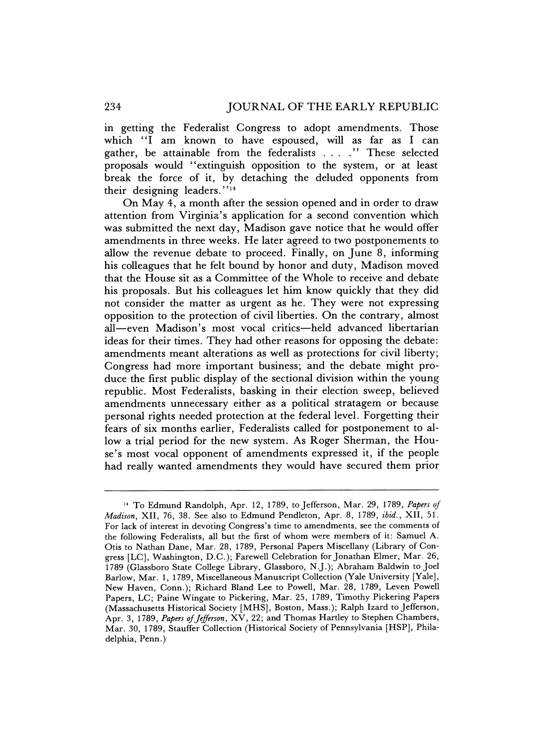in getting the Federalist Congress to adopt amendments. Those which "I am known to have espoused, will as far as I can gather, be attainable from the federalists . . . ." These selected proposals would "extinguish opposition to the system, or at least break the force of it, by detaching the deluded opponents from their designing leaders. **"I4** 

On May 4, a month after the session opened and in order to draw attention from Virginia's application for a second convention which was submitted the next day, Madison gave notice that he would offer amendments in three weeks. He later agreed to two postponements to allow the revenue debate to proceed. Finally, on June 8, informing his colleagues that he felt bound by honor and duty, Madison moved that the House sit as a Committee of the Whole to receive and debate his proposals. But his colleagues let him know quickly that they did not consider the matter as urgent as he. They were not expressing opposition to the protection of civil liberties. On the contrary, almost all-even Madison's most vocal critics-held advanced libertarian ideas for their times. They had other reasons for opposing the debate: amendments meant alterations as well as protections for civil liberty; Congress had more important business; and the debate might produce the first public display of the sectional division within the young republic. Most Federalists, basking in their election sweep, believed amendments unnecessary either as a political stratagem or because personal rights needed protection at the federal level. Forgetting their fears of six months earlier, Federalists called for postponement to allow a trial period for the new system. As Roger Sherman, the House's most vocal opponent of amendments expressed it, if the people had really wanted amendments they would have secured them prior

<sup>&</sup>lt;sup>14</sup> To Edmund Randolph, Apr. 12, 1789, to Jefferson, Mar. 29, 1789, *Papers of Madison,* XII, 76, 38. See also to Edmund Pendleton, Apr. 8, 1789, *ibid.,* XII, 51. For lack of interest in devoting Congress's time to amendments, see the comments of the following Federalists, all but the first of whom were members of it: Samuel A. Otis to Nathan Dane, Mar. 28, 1789, Personal Papers Miscellany (Library of Congress [LC], Washington, D.C.); Farewell Celebration for Jonathan Elmer, Mar. 26, 1789 (Glassboro State College Library, Glassboro, N.J.); Abraham Baldwin to Joel Barlow, Mar. 1, 1789, Miscellaneous Manuscript Collection (Yale University [Yale], New Haven, Conn.); Richard Bland Lee to Powell, Mar. 28, 1789, Leven Powell Papers, LC; Paine Wingate to Pickering, Mar. 25, 1789, Timothy Pickering Papers (Massachusetts Historical Society [MHS], Boston, Mass.); Ralph Izard to Jefferson, Apr. 3, 1789, *Papers of Jefferson*, XV, 22; and Thomas Hartley to Stephen Chambers, Mar. 30, 1789, Stauffer Collection (Historical Society of Pennsylvania [HSP], Philadelphia, Penn.)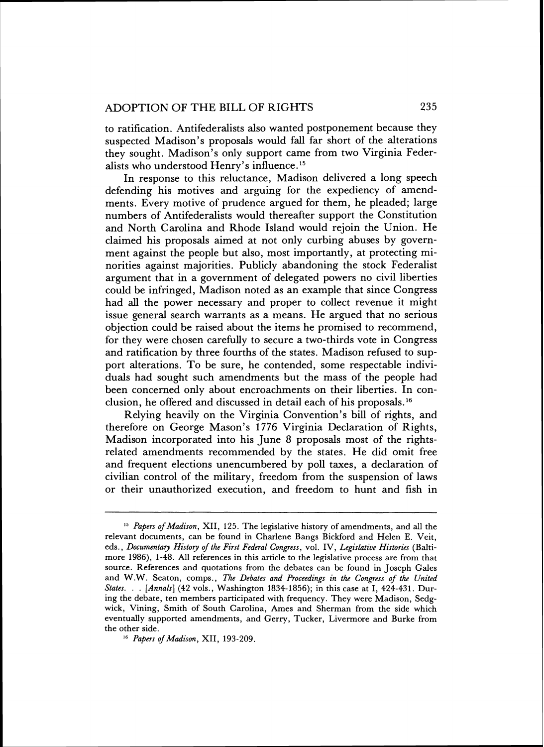to ratification. Antifederalists also wanted postponement because they suspected Madison's proposals would fall far short of the alterations they sought. Madison's only support came from two Virginia Federalists who understood Henry's influence.15

In response to this reluctance, Madison delivered a long speech defending his motives and arguing for the expediency of amendments. Every motive of prudence argued for them, he pleaded; large numbers of Antifederalists would thereafter support the Constitution and North Carolina and Rhode Island would rejoin the Union. He claimed his proposals aimed at not only curbing abuses by government against the people but also, most importantly, at protecting minorities against majorities. Publicly abandoning the stock Federalist argument that in a government of delegated powers no civil liberties could be infringed, Madison noted as an example that since Congress had all the power necessary and proper to collect revenue it might issue general search warrants as a means. He argued that no serious objection could be raised about the items he promised to recommend, for they were chosen carefully to secure a two-thirds vote in Congress and ratification by three fourths of the states. Madison refused to support alterations. To be sure, he contended, some respectable individuals had sought such amendments but the mass of the people had been concerned only about encroachments on their liberties. In conclusion, he offered and discussed in detail each of his proposals.16

Relying heavily on the Virginia Convention's bill of rights, and therefore on George Mason's 1776 Virginia Declaration of Rights, Madison incorporated into his June 8 proposals most of the rightsrelated amendments recommended by the states. He did omit free and frequent elections unencumbered by poll taxes, a declaration of civilian control of the military, freedom from the suspension of laws or their unauthorized execution, and freedom to hunt and fish in

**l5** *Papers of Madison,* XII, 125. The legislative history of amendments, and all the relevant documents, can be found in Charlene Bangs Bickford and Helen E. Veit, eds., *Documentasy Histosy* of *the First Federal Congress,* vol. IV, *Legislative Histories* (Baltimore 1986), 1-48. All references in this article to the legislative process are from that source. References and quotations from the debates can be found in Joseph Gales and W.W. Seaton, comps., *The Debates and Proceedings in the Congress of the United States.* . . *[Annals]*(42 vols., Washington 1834-1856); in this case at I, 424-431. During the debate, ten members participated with frequency. They were Madison, Sedgwick, Vining, Smith of South Carolina, Ames and Sherman from the side which eventually supported amendments, and Gerry, Tucker, Livermore and Burke from the other side.

**l6**  *Papers of Madison,* XII, 193-209.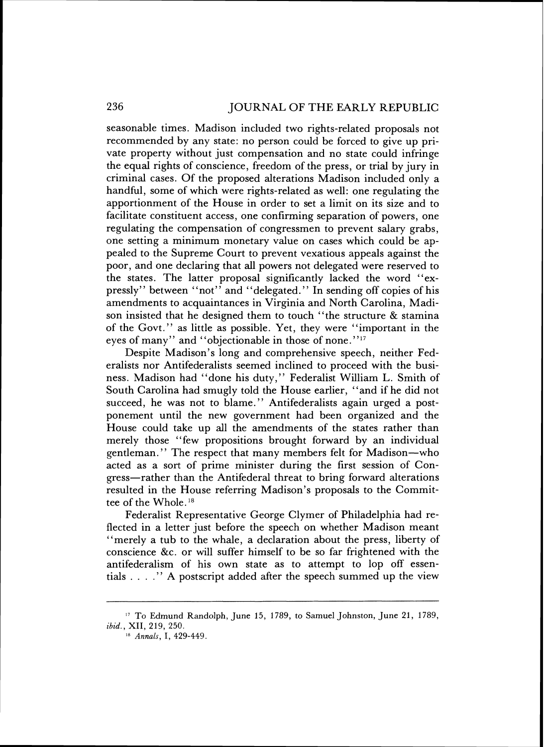seasonable times. Madison included two rights-related proposals not recommended by any state: no person could be forced to give up private property without just compensation and no state could infringe the equal rights of conscience, freedom of the press, or trial by jury in criminal cases. Of the proposed alterations Madison included only a handful, some of which were rights-related as well: one regulating the apportionment of the House in order to set a limit on its size and to facilitate constituent access, one confirming separation of powers, one regulating the compensation of congressmen to prevent salary grabs, one setting a minimum monetary value on cases which could be appealed to the Supreme Court to prevent vexatious appeals against the poor, and one declaring that all powers not delegated were reserved to the states. The latter proposal significantly lacked the word "expressly" between "not" and "delegated." In sending off copies of his amendments to acquaintances in Virginia and North Carolina, Madison insisted that he designed them to touch "the structure & stamina of the Govt." as little as possible. Yet, they were "important in the eyes of many" and "objectionable in those of none."<sup>17</sup>

Despite Madison's long and comprehensive speech, neither Federalists nor Antifederalists seemed inclined to proceed with the business. Madison had "done his duty," Federalist William L. Smith of South Carolina had smugly told the House earlier, "and if he did not succeed, he was not to blame." Antifederalists again urged a postponement until the new government had been organized and the House could take up all the amendments of the states rather than merely those "few propositions brought forward by an individual gentleman." The respect that many members felt for Madison-who acted as a sort of prime minister during the first session of Congress-rather than the Antifederal threat to bring forward alterations resulted in the House referring Madison's proposals to the Committee of the Whole.<sup>18</sup>

Federalist Representative George Clymer of Philadelphia had reflected in a letter just before the speech on whether Madison meant "merely a tub to the whale, a declaration about the press, liberty of conscience &c. or will suffer himself to be so far frightened with the antifederalism of his own state as to attempt to lop off essentials . . . ." A postscript added after the speech summed up the view

<sup>&</sup>lt;sup>17</sup> To Edmund Randolph, June 15, 1789, to Samuel Johnston, June 21, 1789, **ibid.,**XII, 219, 250.

<sup>&</sup>lt;sup>18</sup> *Annals*, I, 429-449.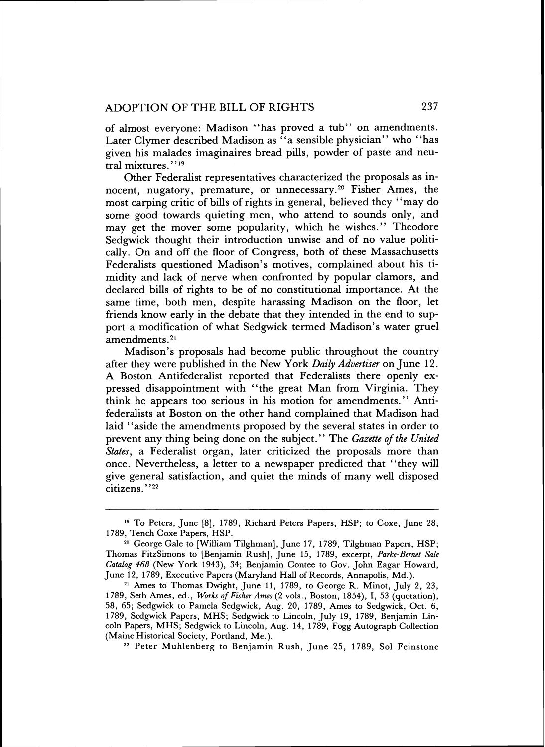of almost everyone: Madison "has proved a tub" on amendments. Later Clymer described Madison as "a sensible physician" who "has given his malades imaginaires bread pills, powder of paste and neutral mixtures."<sup>19</sup>

Other Federalist representatives characterized the proposals as innocent, nugatory, premature, or unnecessary.<sup>20</sup> Fisher Ames, the most carping critic of bills of rights in general, believed they "may do some good towards quieting men, who attend to sounds only, and may get the mover some popularity, which he wishes." Theodore Sedgwick thought their introduction unwise and of no value politically. On and off the floor of Congress, both of these Massachusetts Federalists questioned Madison's motives, complained about his timidity and lack of nerve when confronted by popular clamors, and declared bills of rights to be of no constitutional importance. At the same time, both men, despite harassing Madison on the floor, let friends know early in the debate that they intended in the end to support a modification of what Sedgwick termed Madison's water gruel amendments. <sup>21</sup>

Madison's proposals had become public throughout the country after they were published in the New York Daily Advertiser on June 12. A Boston Antifederalist reported that Federalists there openly expressed disappointment with "the great Man from Virginia. They think he appears too serious in his motion for amendments." Antifederalists at Boston on the other hand complained that Madison had laid "aside the amendments proposed by the several states in order to prevent any thing being done on the subject." The Gazette of the United States, a Federalist organ, later criticized the proposals more than once. Nevertheless, a letter to a newspaper predicted that "they will give general satisfaction, and quiet the minds of many well disposed citizens."<sup>22</sup>

**22** Peter Muhlenberg to Benjamin Rush, June 25, 1789, Sol Feinstone

<sup>&</sup>lt;sup>19</sup> To Peters, June [8], 1789, Richard Peters Papers, HSP; to Coxe, June 28, 1789, Tench Coxe Papers, HSP.

**<sup>20</sup>**George Gale to [William Tilghman], June 17, 1789, Tilghman Papers, HSP; Thomas FitzSirnons to [Benjamin Rush], June 15, 1789, excerpt, *Parke-Bernet Sale Catalog 468* (New York 1943), 34; Benjamin Contee to Gov. John Eagar Howard, June 12, 1789, Executive Papers (Maryland Hall of Records, Annapolis, Md.).

**<sup>21</sup>**Arnes to Thomas Dwight, June 11, 1789, to George R. Minot, July 2, 23, 1789, Seth Ames, ed., *Works of Fisher Ames* (2 vols., Boston, 1854), I, 53 (quotation), 58, 65; Sedgwick to Pamela Sedgwick, Aug. 20, 1789, Ames to Sedgwick, Oct. 6, 1789, Sedgwick Papers, MHS; Sedgwick to Lincoln, July 19, 1789, Benjamin Lincoln Papers, MHS; Sedgwick to Lincoln, Aug. 14, 1789, Fogg Autograph Collection (Maine Historical Society, Portland, Me.).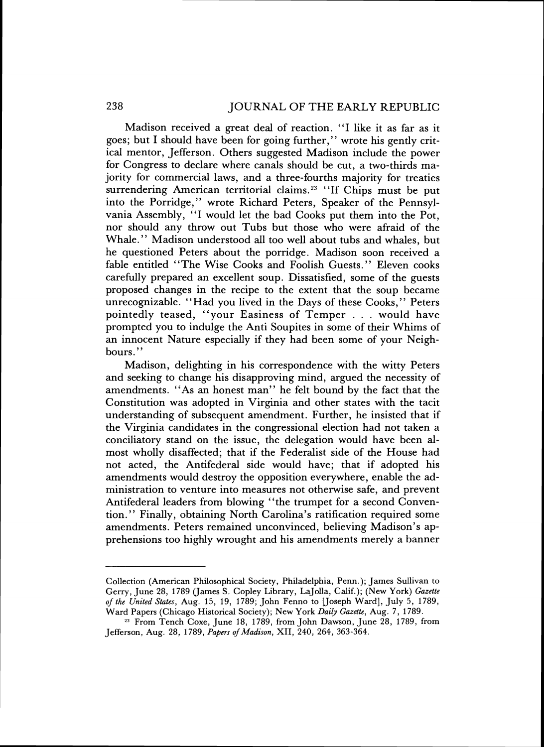Madison received a great deal of reaction. "I like it as far as it goes; but I should have been for going further," wrote his gently critical mentor, Jefferson. Others suggested Madison include the power for Congress to declare where canals should be cut, a two-thirds majority for commercial laws, and a three-fourths majority for treaties surrendering American territorial claims.<sup>23</sup> "If Chips must be put into the Porridge," wrote Richard Peters, Speaker of the Pennsylvania Assembly, "I would let the bad Cooks put them into the Pot, nor should any throw out Tubs but those who were afraid of the Whale." Madison understood all too well about tubs and whales, but he questioned Peters about the porridge. Madison soon received a fable entitled "The Wise Cooks and Foolish Guests." Eleven cooks carefully prepared an excellent soup. Dissatisfied, some of the guests proposed changes in the recipe to the extent that the soup became unrecognizable. "Had you lived in the Days of these Cooks," Peters pointedly teased, "your Easiness of Temper . . . would have prompted you to indulge the Anti Soupites in some of their Whims of an innocent Nature especially if they had been some of your Neighbours."

Madison, delighting in his correspondence with the witty Peters and seeking to change his disapproving mind, argued the necessity of amendments. "As an honest man" he felt bound by the fact that the Constitution was adopted in Virginia and other states with the tacit understanding of subsequent amendment. Further, he insisted that if the Virginia candidates in the congressional election had not taken a conciliatory stand on the issue, the delegation would have been almost wholly disaffected; that if the Federalist side of the House had not acted, the Antifederal side would have; that if adopted his amendments would destroy the opposition everywhere, enable the administration to venture into measures not otherwise safe, and prevent Antifederal leaders from blowing "the trumpet for a second Convention." Finally, obtaining North Carolina's ratification required some amendments. Peters remained unconvinced, believing Madison's apprehensions too highly wrought and his amendments merely a banner

Collection (American Philosophical Society, Philadelphia, Penn.); James Sullivan to Gerry, June 28, 1789 ('James S. Copley Library, LaJolla, Calif.); (New York) *Gazette*  of the United States, Aug. 15, 19, 1789; John Fenno to [Joseph Ward], July 5, 1789, Ward Papers (Chicago Historical Society); New York *Daily Gazdte,* Aug. 7, 1789.

From Tench Coxe, June 18, 1789, from John Dawson, June 28, 1789, from **23** Jefferson, Aug. 28, 1789, *Papers of Madison*, XII, 240, 264, 363-364.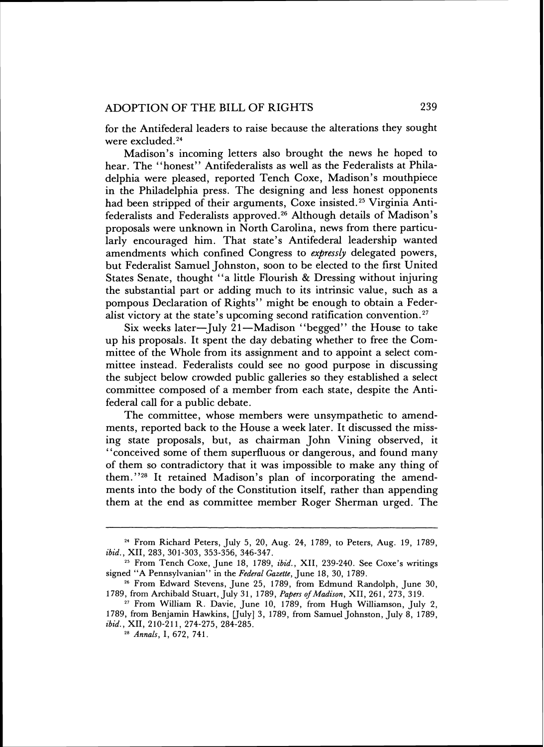for the Antifederal leaders to raise because the alterations they sought were excluded. 24

Madison's incoming letters also brought the news he hoped to hear. The "honest" Antifederalists as well as the Federalists at Philadelphia were pleased, reported Tench Coxe, Madison's mouthpiece in the Philadelphia press. The designing and less honest opponents had been stripped of their arguments, Coxe insisted.<sup>25</sup> Virginia Antifederalists and Federalists approved.26 Although details of Madison's proposals were unknown in North Carolina, news from there particularly encouraged him. That state's Antifederal leadership wanted amendments which confined Congress to *expressly* delegated powers, but Federalist Samuel Johnston, soon to be elected to the first United States Senate, thought "a little Flourish & Dressing without injuring the substantial part or adding much to its intrinsic value, such as a pompous Declaration of Rights" might be enough to obtain a Federalist victory at the state's upcoming second ratification convention.<sup>27</sup>

Six weeks later-July 21-Madison "begged" the House to take up his proposals. It spent the day debating whether to free the Committee of the Whole from its assignment and to appoint a select committee instead. Federalists could see no good purpose in discussing the subject below crowded public galleries so they established a select committee composed of a member from each state, despite the Antifederal call for a public debate.

The committee, whose members were unsympathetic to amendments, reported back to the House a week later. It discussed the missing state proposals, but, as chairman John Vining observed, it "conceived some of them superfluous or dangerous, and found many of them so contradictory that it was impossible to make any thing of them."28 It retained Madison's plan of incorporating the amendments into the body of the Constitution itself, rather than appending them at the end as committee member Roger Sherman urged. The

**<sup>2&#</sup>x27;** From Richard Peters, July 5, 20, Aug. 24, 1789, to Peters, Aug. 19, 1789, *ibid.,* XII, 283, 301-303, 353-356, 346-347.

**<sup>25</sup>**From Tench Coxe, June 18, 1789, *ibid.,* XII, 239-240. See Coxe's writings signed "A Pennsylvanian" in the *Federal Gazette,* June 18, 30, 1789.

<sup>&</sup>lt;sup>26</sup> From Edward Stevens, June 25, 1789, from Edmund Randolph, June 30, 1789, from Archibald Stuart, July 31, 1789, *Papers* of *Madison,* XII, 261, 273, 319.

**<sup>27</sup>**From William R. Davie, June 10, 1789, from Hugh Williamson, July 2, 1789, from Benjamin Hawkins, [July] 3, 1789, from Samuel Johnston, July 8, 1789, ibid., XII, 210-211, 274-275, 284-285.

**<sup>28</sup>** *Annals,* I, 672, 741.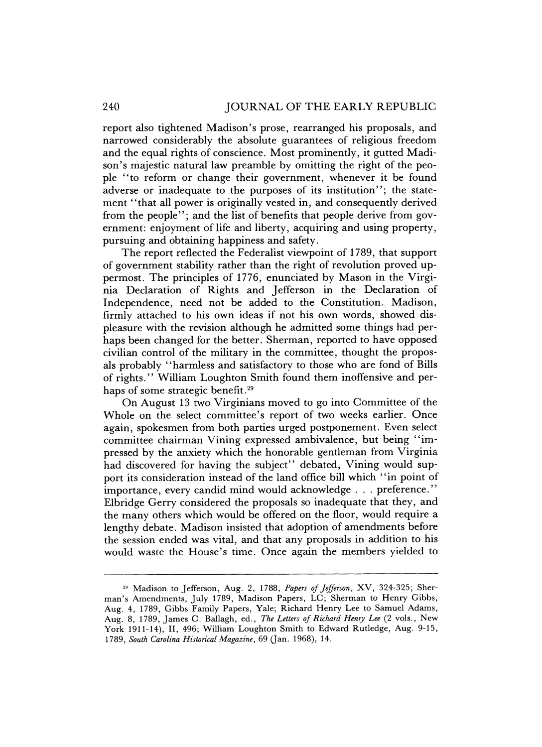report also tightened Madison's prose, rearranged his proposals, and narrowed considerably the absolute guarantees of religious freedom and the equal rights of conscience. Most prominently, it gutted Madison's majestic natural law preamble by omitting the right of the people "to reform or change their government, whenever it be found adverse or inadequate to the purposes of its institution"; the statement "that all power is originally vested in, and consequently derived from the people"; and the list of benefits that people derive from government: enjoyment of life and liberty, acquiring and using property, pursuing and obtaining happiness and safety.

The report reflected the Federalist viewpoint of 1789, that support of government stability rather than the right of revolution proved uppermost. The principles of 1776, enunciated by Mason in the Virginia Declaration of Rights and Jefferson in the Declaration of Independence, need not be added to the Constitution. Madison, firmly attached to his own ideas if not his own words, showed displeasure with the revision although he admitted some things had perhaps been changed for the better. Sherman, reported to have opposed civilian control of the military in the committee, thought the proposals probably "harmless and satisfactory to those who are fond of Bills of rights." William Loughton Smith found them inoffensive and perhaps of some strategic benefit.<sup>29</sup>

On August 13 two Virginians moved to go into Committee of the Whole on the select committee's report of two weeks earlier. Once again, spokesmen from both parties urged postponement. Even select committee chairman Vining expressed ambivalence, but being "impressed by the anxiety which the honorable gentleman from Virginia had discovered for having the subject" debated, Vining would support its consideration instead of the land office bill which "in point of importance, every candid mind would acknowledge . . . preference." Elbridge Gerry considered the proposals so inadequate that they, and the many others which would be offered on the floor, would require a lengthy debate. Madison insisted that adoption of amendments before the session ended was vital, and that any proposals in addition to his would waste the House's time. Once again the members yielded to

<sup>&</sup>lt;sup>29</sup> Madison to Jefferson, Aug. 2, 1788, Papers of Jefferson, XV, 324-325; Sherman's Amendments, July 1789, Madison Papers, LC; Sherman to Henry Gibbs, Aug. 4, 1789, Gibbs Family Papers, Yale; Richard Henry Lee to Samuel Adams, Aug. 8, 1789, James C. Ballagh, ed., *The Letters of Richard Henry Lee* (2 vols., New York 1911-14), II, 496; William Loughton Smith to Edward Rutledge, Aug. 9-15, 1789, *South Carolina Historical Mafazine,* 69 (Jan. 1968), 14.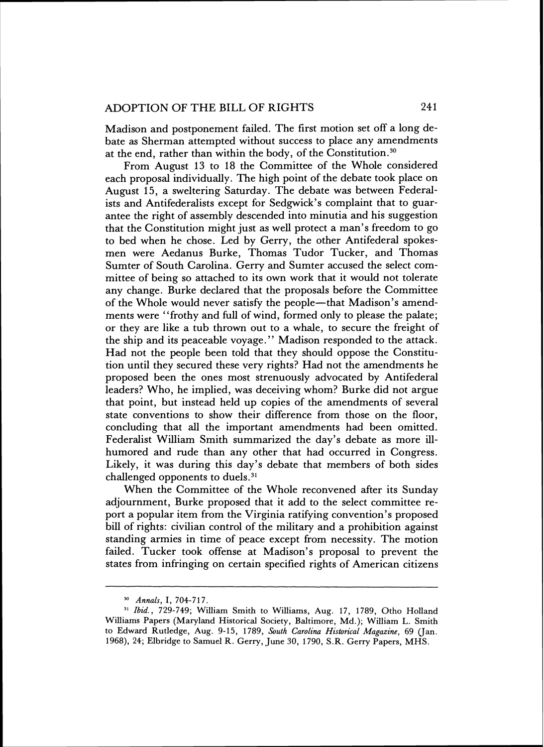Madison and postponement failed. The first motion set off a long debate as Sherman attempted without success to place any amendments at the end, rather than within the body, of the Constitution. $^{30}$ 

From August 13 to 18 the Committee of the Whole considered each proposal individually. The high point of the debate took place on August 15, a sweltering Saturday. The debate was between Federalists and Antifederalists except for Sedgwick's complaint that to guarantee the right of assembly descended into minutia and his suggestion that the Constitution might just as well protect a man's freedom to go to bed when he chose. Led by Gerry, the other Antifederal spokesmen were Aedanus Burke, Thomas Tudor Tucker, and Thomas Sumter of South Carolina. Gerry and Sumter accused the select committee of being so attached to its own work that it would not tolerate any change. Burke declared that the proposals before the Committee of the Whole would never satisfy the people-that Madison's amendments were "frothy and full of wind, formed only to please the palate; or they are like a tub thrown out to a whale, to secure the freight of the ship and its peaceable voyage." Madison responded to the attack. Had not the people been told that they should oppose the Constitution until they secured these very rights? Had not the amendments he proposed been the ones most strenuously advocated by Antifederal leaders? Who, he implied, was deceiving whom? Burke did not argue that point, but instead held up copies of the amendments of several state conventions to show their difference from those on the floor, concluding that all the important amendments had been omitted. Federalist William Smith summarized the day's debate as more illhumored and rude than any other that had occurred in Congress. Likely, it was during this day's debate that members of both sides challenged opponents to duels.<sup>31</sup>

When the Committee of the Whole reconvened after its Sunday adjournment, Burke proposed that it add to the select committee report a popular item from the Virginia ratifying convention's proposed bill of rights: civilian control of the military and a prohibition against standing armies in time of peace except from necessity. The motion failed. Tucker took offense at Madison's proposal to prevent the states from infringing on certain specified rights of American citizens

<sup>&</sup>lt;sup>30</sup> Annals, I, 704-717.

**<sup>3&#</sup>x27; Ibid.,** 729-749; William Smith to Williams, Aug. 17, 1789, Otho Holland Williams Papers (Maryland Historical Society, Baltimore, Md.); William L. Smith to Edward Rutledge, Aug. 9-15, 1789, South Carolina Historical Magazine, 69 (Jan. 1968), 24; Elbridge to Samuel R. Gerry, June 30, 1790, S.R. Gerry Papers, MHS.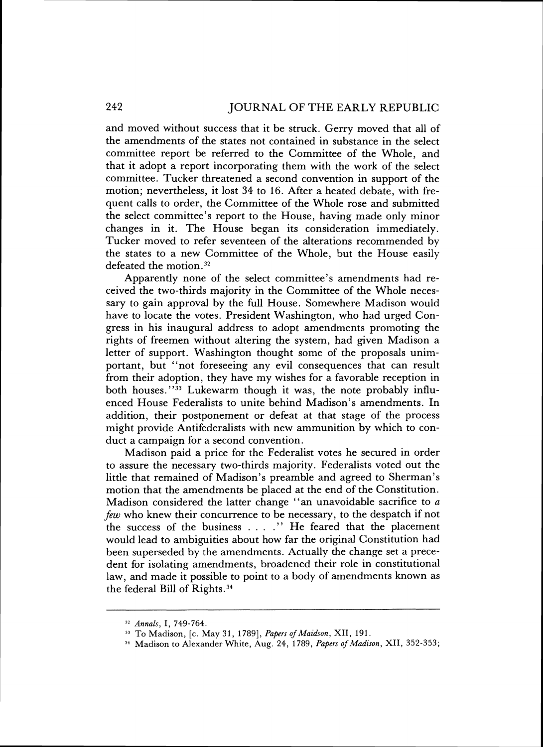and moved without success that it be struck. Gerry moved that all of the amendments of the states not contained in substance in the select committee report be referred to the Committee of the Whole, and that it adopt a report incorporating them with the work of the select committee. Tucker threatened a second convention in support of the motion; nevertheless, it lost **34** to 16. After a heated debate, with frequent calls to order, the Committee of the Whole rose and submitted the select committee's report to the House, having made only minor changes in it. The House began its consideration immediately. Tucker moved to refer seventeen of the alterations recommended by the states to a new Committee of the Whole, but the House easily defeated the motion.<sup>32</sup>

Apparently none of the select committee's amendments had received the two-thirds majority in the Committee of the Whole necessary to gain approval by the full House. Somewhere Madison would have to locate the votes. President Washington, who had urged Congress in his inaugural address to adopt amendments promoting the rights of freemen without altering the system, had given Madison a letter of support. Washington thought some of the proposals unimportant, but "not foreseeing any evil consequences that can result from their adoption, they have my wishes for a favorable reception in both houses."<sup>33</sup> Lukewarm though it was, the note probably influenced House Federalists to unite behind Madison's amendments. In addition, their postponement or defeat at that stage of the process might provide Antifederalists with new ammunition by which to conduct a campaign for a second convention.

Madison paid a price for the Federalist votes he secured in order to assure the necessary two-thirds majority. Federalists voted out the little that remained of Madison's preamble and agreed to Sherman's motion that the amendments be placed at the end of the Constitution. Madison considered the latter change "an unavoidable sacrifice to  $a$ few who knew their concurrence to be necessary, to the despatch if not the success of the business . . . ." He feared that the placement would lead to ambiguities about how far the original Constitution had been superseded by the amendments. Actually the change set a precedent for isolating amendments, broadened their role in constitutional law, and made it possible to point to a body of amendments known as the federal Bill of Rights.34

**<sup>32</sup>***Annals, I,* **749-764.** 

**<sup>33</sup>**TO Madison, [c. May 31, 17891, *Papers ofMaidson,* XII, 191.

<sup>&</sup>lt;sup>34</sup> Madison to Alexander White, Aug. 24, 1789, *Papers of Madison*, XII, 352-353;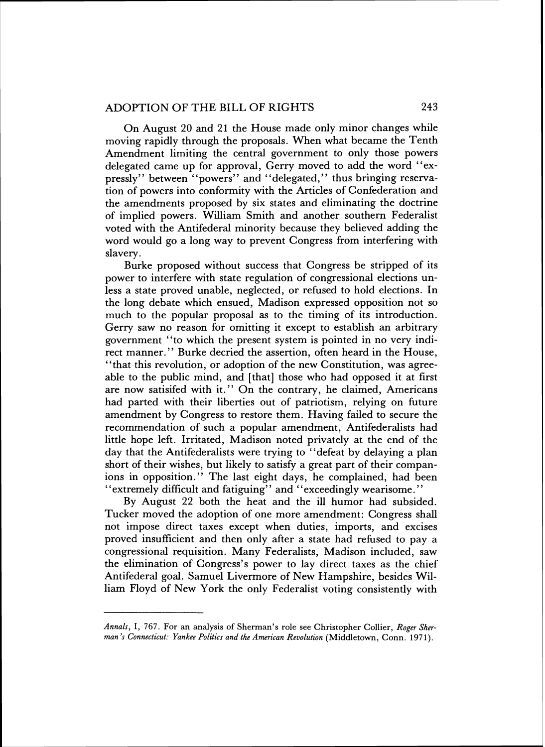On August 20 and 21 the House made only minor changes while moving rapidly through the proposals. When what became the Tenth Amendment limiting the central government to only those powers delegated came up for approval, Gerry moved to add the word "expressly" between "powers" and "delegated," thus bringing reservation of powers into conformity with the Articles of Confederation and the amendments proposed by six states and eliminating the doctrine of implied powers. William Smith and another southern Federalist voted with the Antifederal minority because they believed adding the word would go a long way to prevent Congress from interfering with slavery.

Burke proposed without success that Congress be stripped of its power to interfere with state regulation of congressional elections unless a state proved unable, neglected, or refused to hold elections. In the long debate which ensued, Madison expressed opposition not so much to the popular proposal as to the timing of its introduction. Gerry saw no reason for omitting it except to establish an arbitrary government "to which the present system is pointed in no very indirect manner.'' Burke decried the assertion, often heard in the House, "that this revolution, or adoption of the new Constitution, was agreeable to the public mind, and [that] those who had opposed it at first are now satisifed with it." On the contrary, he claimed, Americans had parted with their liberties out of patriotism, relying on future amendment by Congress to restore them. Having failed to secure the recommendation of such a popular amendment, Antifederalists had little hope left. Irritated, Madison noted privately at the end of the day that the Antifederalists were trying to "defeat by delaying a plan short of their wishes, but likely to satisfy a great part of their companions in opposition." The last eight days, he complained, had been "extremely difficult and fatiguing" and "exceedingly wearisome."

By August 22 both the heat and the ill humor had subsided. Tucker moved the adoption of one more amendment: Congress shall not impose direct taxes except when duties, imports, and excises proved insufficient and then only after a state had refused to pay a congressional requisition. Many Federalists, Madison included, saw the elimination of Congress's power to lay direct taxes as the chief Antifederal goal. Samuel Livermore of New Hampshire, besides William Floyd of New York the only Federalist voting consistently with

*Annals, I,* 767. For an analysis of Sherman's role see Christopher Collier, *Roger Sher*man's Connecticut: Yankee Politics and the American Revolution (Middletown, Conn. 1971).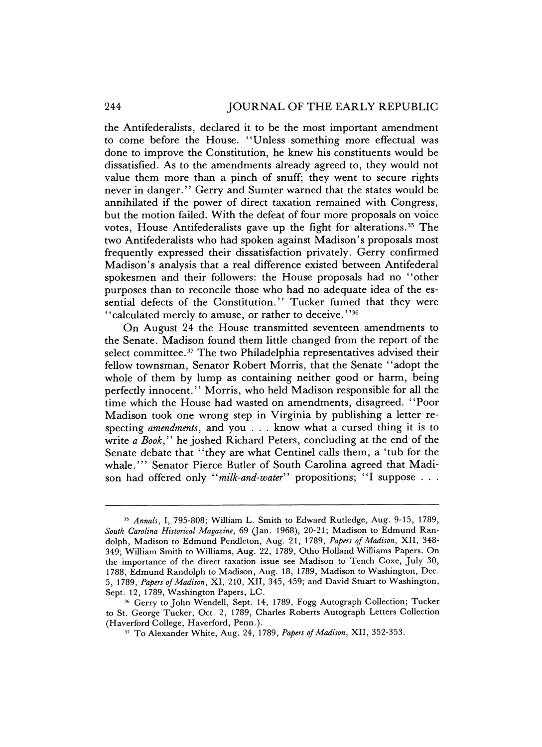the Antifederalists, declared it to be the most important amendment to come before the House. "Unless something more effectual was done to improve the Constitution, he knew his constituents would be dissatisfied. As to the amendments already agreed to, they would not value them more than a pinch of snuff; they went to secure rights never in danger.'' Gerry and Sumter warned that the states would be annihilated if the power of direct taxation remained with Congress, but the motion failed. With the defeat of four more proposals on voice votes, House Antifederalists gave up the fight for alterations.<sup>35</sup> The two Antifederalists who had spoken against Madison's proposals most frequently expressed their dissatisfaction privately. Gerry confirmed Madison's analysis that a real difference existed between Antifederal spokesmen and their followers: the House proposals had no "other purposes than to reconcile those who had no adequate idea of the essential defects of the Constitution." Tucker fumed that they were "calculated merely to amuse, or rather to deceive."36

On August 24 the House transmitted seventeen amendments to the Senate. Madison found them little changed from the report of the select committee.<sup>37</sup> The two Philadelphia representatives advised their fellow townsman, Senator Robert Morris, that the Senate "adopt the whole of them by lump as containing neither good or harm, being perfectly innocent." Morris, who held Madison responsible for all the time which the House had wasted on amendments, disagreed. "Poor Madison took one wrong step in Virginia by publishing a letter respecting *amendments*, and you . . . know what a cursed thing it is to write a Book," he joshed Richard Peters, concluding at the end of the Senate debate that "they are what Centinel calls them, a 'tub for the whale."" Senator Pierce Butler of South Carolina agreed that Madison had offered only "milk-and-water" propositions; "I suppose . . .

**<sup>35</sup>***Annals, I,* 795-808; William L. Smith to Edward Rutledge, Aug. 9-15, 1789, *South Carolina Historical Magazine,* 69 (Jan. 1968), 20-21; Madison to Edmund Randolph, Madison to Edmund Pendleton, Aug. 21, 1789, Papers of Madison, XII, 348-349; William Smith to Williams, Aug. 22, 1789, Otho Holland Williams Papers. On the importance of the direct taxation issue see Madison to Tench Coxe, July 30, 1788, Edmund Randolph to Madison, Aug. 18, 1789, Madison to Washington, Dec. 5, 1789, *Papers of Madison*, XI, 210, XII, 345, 459; and David Stuart to Washington, Sept. 12, 1789, Washington Papers, LC.

<sup>&</sup>lt;sup>36</sup> Gerry to John Wendell, Sept. 14, 1789, Fogg Autograph Collection; Tucker to St. George Tucker, Oct. 2, 1789, Charles Roberts Autograph Letters Collection (Haverford College, Haverford, Penn.).

<sup>&</sup>lt;sup>37</sup> To Alexander White, Aug. 24, 1789, *Papers of Madison*, XII, 352-353.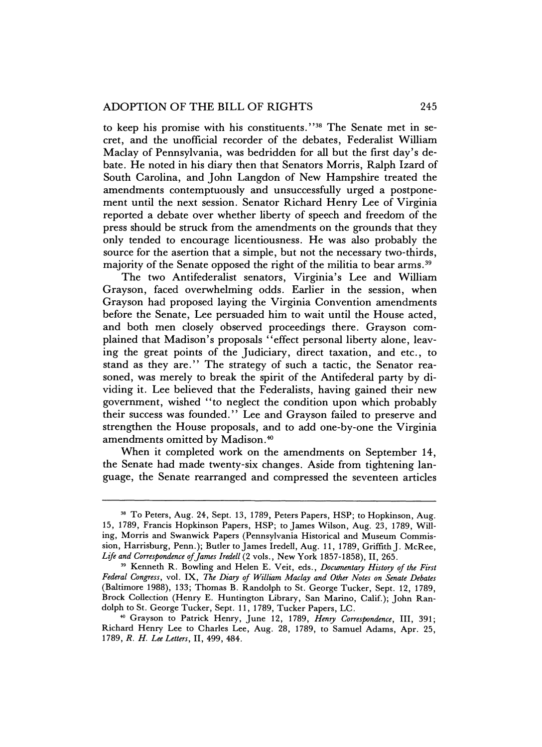to keep his promise with his constituents."<sup>38</sup> The Senate met in secret, and the unofficial recorder of the debates, Federalist William Maclay of Pennsylvania, was bedridden for all but the first day's debate. He noted in his diary then that Senators Morris, Ralph Izard of South Carolina, and John Langdon of New Hampshire treated the amendments contemptuously and unsuccessfully urged a postponement until the next session. Senator Richard Henry Lee of Virginia reported a debate over whether liberty of speech and freedom of the press should be struck from the amendments on the grounds that they only tended to encourage licentiousness. He was also probably the source for the asertion that a simple, but not the necessary two-thirds, majority of the Senate opposed the right of the militia to bear arms.<sup>39</sup>

The two Antifederalist senators, Virginia's Lee and William Grayson, faced overwhelming odds. Earlier in the session, when Grayson had proposed laying the Virginia Convention amendments before the Senate, Lee persuaded him to wait until the House acted, and both men closely observed proceedings there. Grayson complained that Madison's proposals "effect personal liberty alone, leaving the great points of the Judiciary, direct taxation, and etc., to stand as they are." The strategy of such a tactic, the Senator reasoned, was merely to break the spirit of the Antifederal party by dividing it. Lee believed that the Federalists, having gained their new government, wished "to neglect the condition upon which probably their success was founded." Lee and Grayson failed to preserve and strengthen the House proposals, and to add one-by-one the Virginia amendments omitted by Madison.<sup>40</sup>

When it completed work on the amendments on September 14, the Senate had made twenty-six changes. Aside from tightening language, the Senate rearranged and compressed the seventeen articles

**<sup>38</sup>**TO Peters, Aug. 24, Sept. 13, 1789, Peters Papers, HSP; to Hopkinson, Aug. 15, 1789, Francis Hopkinson Papers, HSP; to James Wilson, Aug. 23, 1789, Willing, Morris and Swanwick Papers (Pennsylvania Historical and Museum Commission, Harrisburg, Penn.); Butler to James Iredell, Aug. 11, 1789, Griffith J. McRee, Life and Correspondence of James Iredell (2 vols., New York 1857-1858), II, 265.

Kenneth R. Bowling and Helen E. Veit, eds., *Documentary History* of *the First*  **39** *Federal Congress,* vol. IX, *The Diary of William Mac/ay and Other Notes on Senate Debates*  (Baltimore 1988), 133; Thomas B. Randolph to St. George Tucker, Sept. 12, 1789, Brock Collection (Henry E. Huntington Library, San Marino, Calif.); John Randolph to St. George Tucker, Sept. 11, 1789, Tucker Papers, LC.

**<sup>&#</sup>x27;O** Grayson to Patrick Henry, June 12, 1789, *Henry Correspondence,* 111, 391; Richard Henry Lee to Charles Lee, Aug. 28, 1789, to Samuel Adams, Apr. 25, 1789, R. *H. Lee Letters,* 11, 499, 484.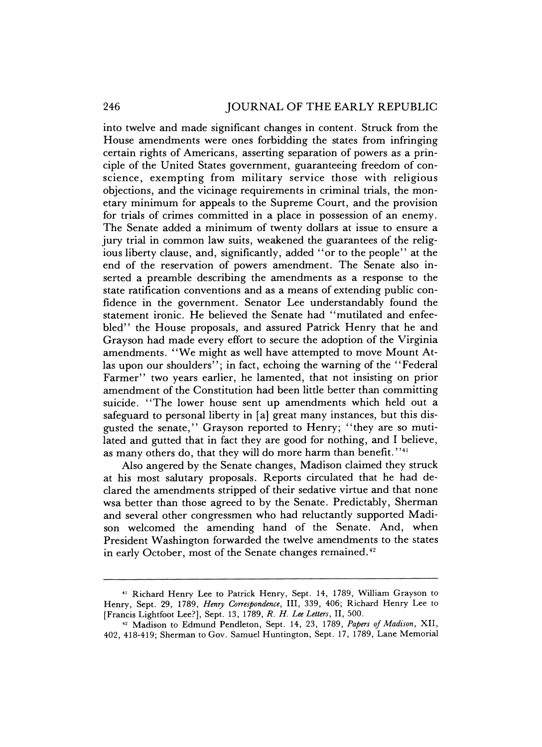into twelve and made significant changes in content. Struck from the House amendments were ones forbidding the states from infringing certain rights of Americans, asserting separation of powers as a principle of the United States government, guaranteeing freedom of conscience, exempting from military service those with religious objections, and the vicinage requirements in criminal trials, the monetary minimum for appeals to the Supreme Court, and the provision for trials of crimes committed in a place in possession of an enemy. The Senate added a minimum of twenty dollars at issue to ensure a jury trial in common law suits, weakened the guarantees of the religious liberty clause, and, significantly, added "or to the people" at the end of the reservation of powers amendment. The Senate also inserted a preamble describing the amendments as a response to the state ratification conventions and as a means of extending public confidence in the government. Senator Lee understandably found the statement ironic. He believed the Senate had "mutilated and enfeebled" the House proposals, and assured Patrick Henry that he and Grayson had made every effort to secure the adoption of the Virginia amendments. "We might as well have attempted to move Mount Atlas upon our shoulders"; in fact, echoing the warning of the "Federal" Farmer" two years earlier, he lamented, that not insisting on prior amendment of the Constitution had been little better than committing suicide. "The lower house sent up amendments which held out a safeguard to personal liberty in [a] great many instances, but this disgusted the senate," Grayson reported to Henry; "they are so mutilated and gutted that in fact they are good for nothing, and I believe, as many others do, that they will do more harm than benefit."<sup>41</sup>

Also angered by the Senate changes, Madison claimed they struck at his most salutary proposals. Reports circulated that he had declared the amendments stripped of their sedative virtue and that none wsa better than those agreed to by the Senate. Predictably, Sherman and several other congressmen who had reluctantly supported Madison welcomed the amending hand of the Senate. And, when President Washington forwarded the twelve amendments to the states in early October, most of the Senate changes remained.<sup>42</sup>

**<sup>4&#</sup>x27;** Richard Henry Lee to Patrick Henry, Sept. 14, 1789, William Grayson to Henry, Sept. 29, 1789, *Henry Correspondence,* 111, 339, 406; Richard Henry Lee to [Francis Lightfoot Lee?], Sept. 13, 1789, **R.***H. Lee Letters,* 11, 500.

**i2** Madison to Edmund Pendleton, Sept. 14, 23, 1789, *Papers* of *Madison, XII,*  402, 418-419; Sherman to Gov. Samuel Huntington, Sept. 17, 1789, Lane Memorial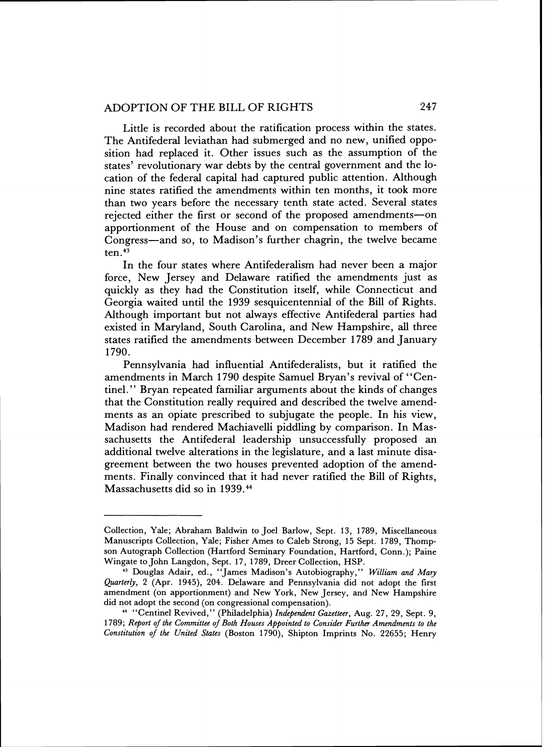Little is recorded about the ratification process within the states. The Antifederal leviathan had submerged and no new, unified opposition had replaced it. Other issues such as the assumption of the states' revolutionary war debts by the central government and the location of the federal capital had captured public attention. Although nine states ratified the amendments within ten months, it took more than two years before the necessary tenth state acted. Several states rejected either the first or second of the proposed amendments-on apportionment of the House and on compensation to members of Congress-and so, to Madison's further chagrin, the twelve became ten.**<sup>43</sup>**

In the four states where Antifederalism had never been a major force, New Jersey and Delaware ratified the amendments just as quickly as they had the Constitution itself, while Connecticut and Georgia waited until the 1939 sesquicentennial of the Bill of Rights. Although important but not always effective Antifederal parties had existed in Maryland, South Carolina, and New Hampshire, all three states ratified the amendments between December 1789 and January 1790.

Pennsylvania had influential Antifederalists, but it ratified the amendments in March 1790 despite Samuel Bryan's revival of "Centinel." Bryan repeated familiar arguments about the kinds of changes that the Constitution really required and described the twelve amendments as an opiate prescribed to subjugate the people. In his view, Madison had rendered Machiavelli piddling by comparison. In Massachusetts the Antifederal leadership unsuccessfully proposed an additional twelve alterations in the legislature, and a last minute disagreement between the two houses prevented adoption of the amendments. Finally convinced that it had never ratified the Bill of Rights, Massachusetts did so in 1939. **<sup>44</sup>**

Collection, Yale; Abraham Baldwin to Joel Barlow, Sept. 13, 1789, Miscellaneous Manuscripts Collection, Yale; Fisher Ames to Caleb Strong, 15 Sept. 1789, Thompson Autograph Collection (Hartford Seminary Foundation, Hartford, Conn.); Paine Wingate to John Langdon, Sept. 17, 1789, Dreer Collection, HSP.

**<sup>43</sup>**Douglas Adair, ed., "James Madison's Autobiography," *William and Mary Qmrterh, 2* (Apr. 1945), 204. Delaware and Pennsylvania did not adopt the first amendment (on apportionment) and New York, New Jersey, and New Hampshire did not adopt the second (on congressional compensation).

**<sup>44</sup>**"Centinel Revived," (Philadelphia) *Independent Gazetteer,* Aug. 27, 29, Sept. 9, 1789; *Report of the Committee of Both Houses Appointed to Consider Further Amendments to the Constitution* of *the United States* (Boston 1790), Shipton Imprints No. 22655; Henry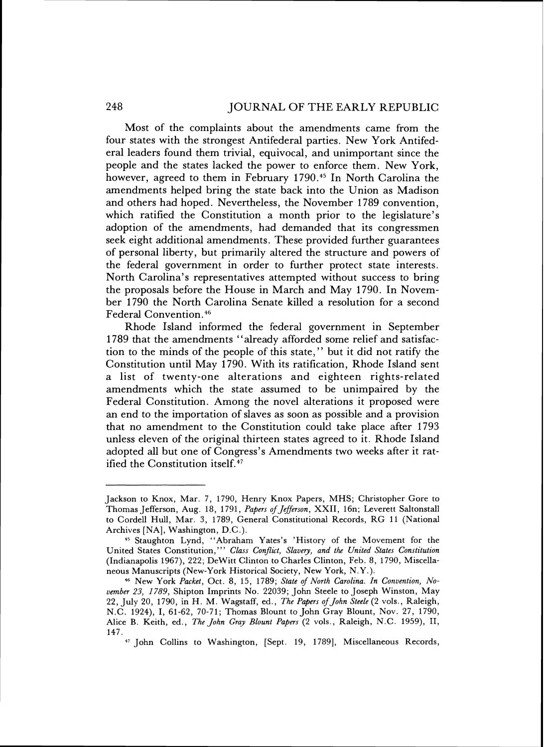Most of the complaints about the amendments came from the four states with the strongest Antifederal parties. New York Antifedera1 leaders found them trivial, equivocal, and unimportant since the people and the states lacked the power to enforce them. New York, however, agreed to them in February 1790.<sup>45</sup> In North Carolina the amendments helped bring the state back into the Union as Madison and others had hoped. Nevertheless, the November 1789 convention, which ratified the Constitution a month prior to the legislature's adoption of the amendments, had demanded that its congressmen seek eight additional amendments. These provided further guarantees of personal liberty, but primariIy altered the structure and powers of the federal government in order to further protect state interests. North Carolina's representatives attempted without success to bring the proposals before the House in March and May 1790. In November 1790 the North Carolina Senate killed a resolution for a second Federal Convention. **<sup>46</sup>**

Rhode Island informed the federal government in September 1789 that the amendments "already afforded some relief and satisfaction to the minds of the people of this state," but it did not ratify the Constitution until May 1790. With its ratification, Rhode Island sent a list of twenty-one alterations and eighteen rights-related amendments which the state assumed to be unimpaired by the Federal Constitution. Among the novel alterations it proposed were an end to the importation of slaves as soon as possible and a provision that no amendment to the Constitution could take place after 1793 unless eleven of the original thirteen states agreed to it. Rhode Island adopted all but one of Congress's Amendments two weeks after it ratified the Constitution itself.<sup>47</sup>

Jackson to Knox, Mar. 7, 1790, Henry Knox Papers, MHS; Christopher Gore to Thomas Jefferson, Aug. 18, 1791, *Papers ofJefferson,* XXII, 16n; Leverett Saltonstall to Cordell Hull, Mar. 3, 1789, General Constitutional Records, RG 11 (National Archives [NA], Washington, D.C.).

**<sup>+5</sup>** Staughton Lynd, "Abraham Yates's 'History of the Movement for the United States Constitution,"' *Class ConJict, Slavery, and the United States Constitution*  (Indianapolis 1967), 222; DeWitt Clinton to Charles Clinton, Feb. 8, 1790, Miscellaneous Manuscripts (New-York Historical Society, New York, N.Y.).

New York *Packet,* Oct. 8, 15, 1789; *Slate* of *North Carolina.* **In** *Convention, No-***46** *uember 23, 1789,* Shipton Imprints No. 22039; John Steele to Joseph Winston, May 22, July 20, 1790, in H. M. Wagstaff, ed., *The Papers of John Steele* (2 vols., Raleigh, N.C. 1924), I, 61-62, 70-71; Thomas Blount to John Gray Blount, Nov. 27, 1790, Alice B. Keith, ed., *The John Gray Blount Papers* (2 vols., Raleigh, N.C. 1959), 11, 147.

<sup>&</sup>lt;sup>47</sup> John Collins to Washington, [Sept. 19, 1789], Miscellaneous Records,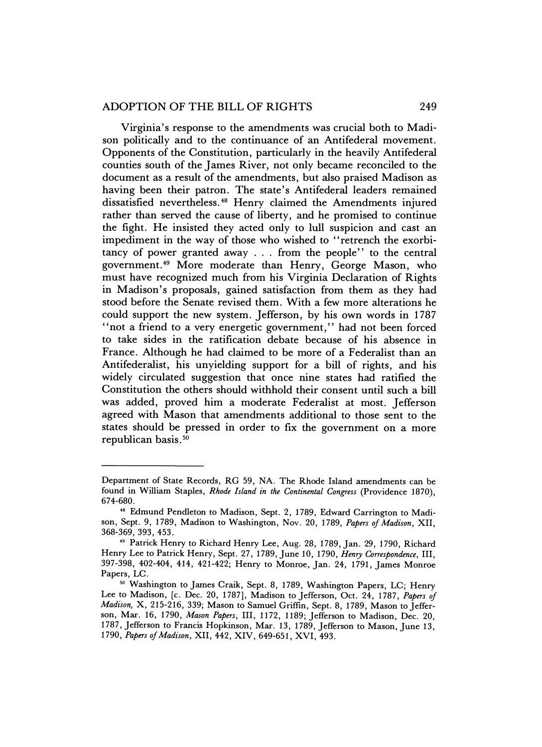Virginia's response to the amendments was crucial both to Madison politically and to the continuance of an Antifederal movement. Opponents of the Constitution, particularly in the heavily Antifederal counties south of the James River, not only became reconciled to the document as a result of the amendments, but also praised Madison as having been their patron. The state's Antifederal leaders remained dissatisfied nevertheless.<sup>48</sup> Henry claimed the Amendments injured rather than served the cause of liberty, and he promised to continue the fight. He insisted they acted only to lull suspicion and cast an impediment in the way of those who wished to "retrench the exorbitancy of power granted away . . . from the people" to the central government.<sup>49</sup> More moderate than Henry, George Mason, who must have recognized much from his Virginia Declaration of Rights in Madison's proposals, gained satisfaction from them as they had stood before the Senate revised them. With a few more alterations he could support the new system. Jefferson, by his own words in 1787 "not a friend to a very energetic government," had not been forced to take sides in the ratification debate because of his absence in France. Although he had claimed to be more of a Federalist than an Antifederalist, his unyielding support for a bill of rights, and his widely circulated suggestion that once nine states had ratified the Constitution the others should withhold their consent until such a bill was added, proved him a moderate Federalist at most. Jefferson agreed with Mason that amendments additional to those sent to the states should be pressed in order to fix the government on a more republican basis **.50** 

Department of State Records, RG 59, NA. The Rhode Island amendments can be found in William Staples, *Rhode Island in the Continental Congress* (Providence 1870), 674-680.

Edmund Pendleton to Madison, Sept. 2, 1789, Edward Carrington to Madison, Sept. 9, 1789, Madison to Washington, Nov. 20, 1789, *Papers of Madison,* XII, 368-369, 393, 453.

**<sup>49</sup>**Patrick Henry to Richard Henry Lee, Aug. 28, 1789, Jan. 29, 1790, Richard Henry Lee to Patrick Henry, Sept. 27, 1789, June 10, 1790, *Henry Correspondence,* 111, 397-398, 402-404, 414, 421-422; Henry to Monroe, Jan. 24, 1791, James Monroe Papers, LC.

<sup>&</sup>lt;sup>50</sup> Washington to James Craik, Sept. 8, 1789, Washington Papers, LC; Henry Lee to Madison, [c. Dec. 20, 1787], Madison to Jefferson, Oct. 24, 1787, Papers of *Madison,* X, 215-216, 339; Mason to Samuel Griffin, Sept. 8, 1789, Mason to Jefferson, Mar. 16, 1790, *Mason Papers,* 111, 1172, 1189; Jefferson to Madison, Dec. 20, 1787, Jefferson to Francis Hopkinson, Mar. 13, 1789, Jefferson to Mason, June 13, 1790, *Papers of Madison,* XII, 442, XIV, 649-651, XVI, 493.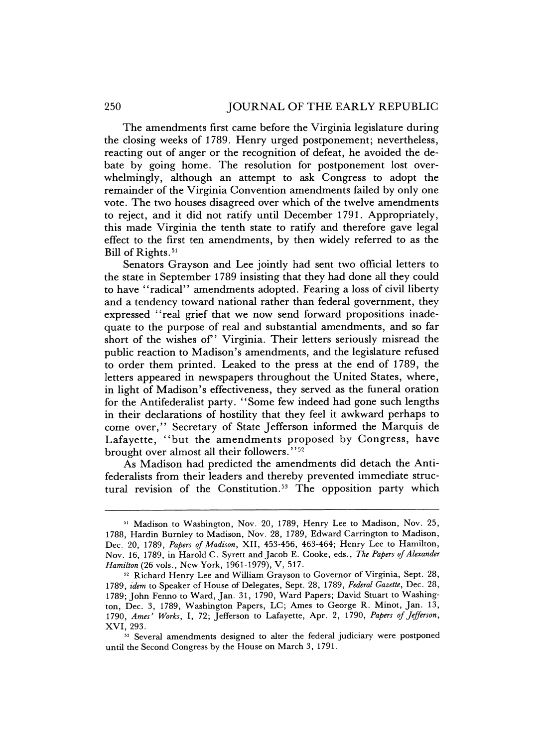The amendments first came before the Virginia legislature during the closing weeks of 1789. Henry urged postponement; nevertheless, reacting out of anger or the recognition of defeat, he avoided the debate by going home. The resolution for postponement lost overwhelmingly, although an attempt to ask Congress to adopt the remainder of the Virginia Convention amendments failed by only one vote. The two houses disagreed over which of the twelve amendments to reject, and it did not ratify until December 1791. Appropriately, this made Virginia the tenth state to ratify and therefore gave legal effect to the first ten amendments, by then widely referred to as the Bill of Rights.<sup>51</sup>

Senators Grayson and Lee jointly had sent two official letters to the state in September 1789 insisting that they had done all they could to have "radical" amendments adopted. Fearing a loss of civil liberty and a tendency toward national rather than federal government, they expressed "real grief that we now send forward propositions inadequate to the purpose of real and substantial amendments, and so far short of the wishes of' Virginia. Their letters seriously misread the public reaction to Madison's amendments, and the legislature refused to order them printed. Leaked to the press at the end of 1789, the letters appeared in newspapers throughout the United States, where, in light of Madison's effectiveness, they served as the funeral oration for the Antifederalist party. "Some few indeed had gone such lengths in their declarations of hostility that they feel it awkward perhaps to come over," Secretary of State Jefferson informed the Marquis de Lafayette, "but the amendments proposed by Congress, have brought over almost all their followers. **"52** 

As Madison had predicted the amendments did detach the Antifederalists from their leaders and thereby prevented immediate structural revision of the Constitution.<sup>53</sup> The opposition party which

**<sup>51</sup>**Madison to Washington, Nov. 20, 1789, Henry Lee to Madison, Nov. 25, 1788, Hardin Burnley to Madison, Nov. 28, 1789, Edward Carrington to Madison, Dec. 20, 1789, *Papers of Madison,* XII, 453-456, 463-464; Henry Lee to Hamilton, Nov. 16, 1789, in Harold C. Syrett and Jacob E. Cooke, eds., *The Papers of Alexander Hamilton* (26 vols., New York, 1961-1979), V, 517.

**<sup>52</sup>**Richard Henry Lee and William Grayson to Governor of Virginia, Sept. 28, 1789, *idem* to Speaker of House of Delegates, Sept. 28, 1789, *Federal Gazette,* Dec. 28, 1789; John Fenno to Ward, Jan. 31, 1790, Ward Papers; David Stuart to Washington, Dec. 3, 1789, Washington Papers, LC; Ames to George R. Minot, Jan. 13, 1790, *Ames' Works*, I, 72; Jefferson to Lafayette, Apr. 2, 1790, *Papers of Jefferson*, XVI, 293.

**<sup>53</sup>** Several amendments designed to alter the federal judiciary were postponed until the Second Congress by the House on March 3, 1791.